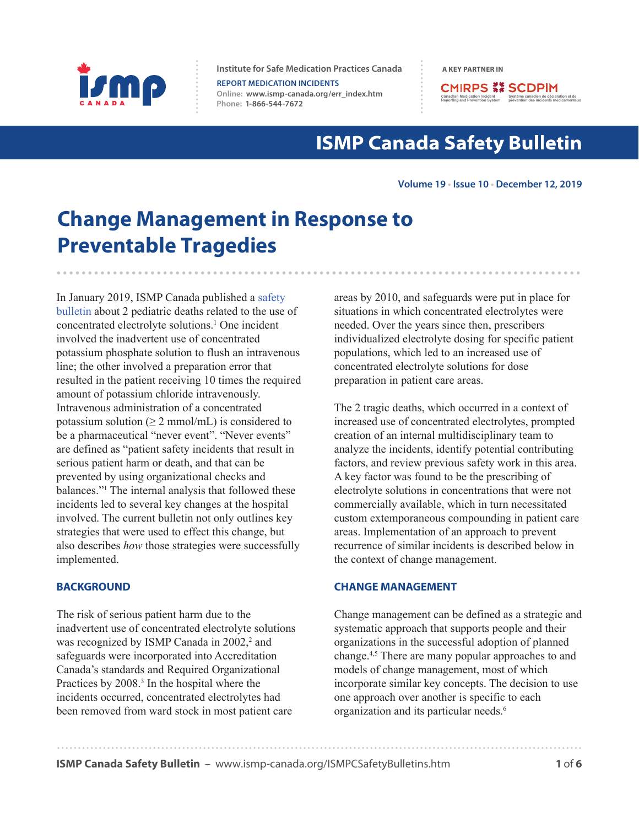

**Institute for Safe Medication Practices Canada A KEY PARTNER IN** 

**REPORT MEDICATION INCIDENTS Online:  [www.ismp-canada.org/err\\_index.htm](http://www.ismp-canada.org/err_index.htm)  Phone: 1-866-544-7672**

**CMIRPS ## SCDPIM** Canadian Medication Incident Système canadien de déclara<br>Reporting and Prevention System prévention des incidents mé

# **ISMP Canada Safety Bulletin**

#### **Volume 19 • Issue 10 • December 12, 2019**

# **Change Management in Response to Preventable Tragedies**

In January 2019, ISMP Canada published [a safety](https://www.ismp-canada.org/download/safetyBulletins/2019/ISMPCSB2019-i1-ConcentratedElectrolytes.pdf)  [bulletin](https://www.ismp-canada.org/download/safetyBulletins/2019/ISMPCSB2019-i1-ConcentratedElectrolytes.pdf) about 2 pediatric deaths related to the use of concentrated electrolyte solutions.1 One incident involved the inadvertent use of concentrated potassium phosphate solution to flush an intravenous line; the other involved a preparation error that resulted in the patient receiving 10 times the required amount of potassium chloride intravenously. Intravenous administration of a concentrated potassium solution ( $\geq 2$  mmol/mL) is considered to be a pharmaceutical "never event". "Never events" are defined as "patient safety incidents that result in serious patient harm or death, and that can be prevented by using organizational checks and balances."1 The internal analysis that followed these incidents led to several key changes at the hospital involved. The current bulletin not only outlines key strategies that were used to effect this change, but also describes *how* those strategies were successfully implemented.

#### **BACKGROUND**

The risk of serious patient harm due to the inadvertent use of concentrated electrolyte solutions was recognized by ISMP Canada in 2002,<sup>2</sup> and safeguards were incorporated into Accreditation Canada's standards and Required Organizational Practices by 2008.<sup>3</sup> In the hospital where the incidents occurred, concentrated electrolytes had been removed from ward stock in most patient care

areas by 2010, and safeguards were put in place for situations in which concentrated electrolytes were needed. Over the years since then, prescribers individualized electrolyte dosing for specific patient populations, which led to an increased use of concentrated electrolyte solutions for dose preparation in patient care areas.

The 2 tragic deaths, which occurred in a context of increased use of concentrated electrolytes, prompted creation of an internal multidisciplinary team to analyze the incidents, identify potential contributing factors, and review previous safety work in this area. A key factor was found to be the prescribing of electrolyte solutions in concentrations that were not commercially available, which in turn necessitated custom extemporaneous compounding in patient care areas. Implementation of an approach to prevent recurrence of similar incidents is described below in the context of change management.

#### **CHANGE MANAGEMENT**

Change management can be defined as a strategic and systematic approach that supports people and their organizations in the successful adoption of planned change.4,5 There are many popular approaches to and models of change management, most of which incorporate similar key concepts. The decision to use one approach over another is specific to each organization and its particular needs.6

**ISMP Canada Safety Bulletin** – [www.ismp-canada.org/ISMPCSafetyBulletins.htm](http://www.ismp-canada.org/ISMPCSafetyBulletins.htm) **1 <b>1 1 1**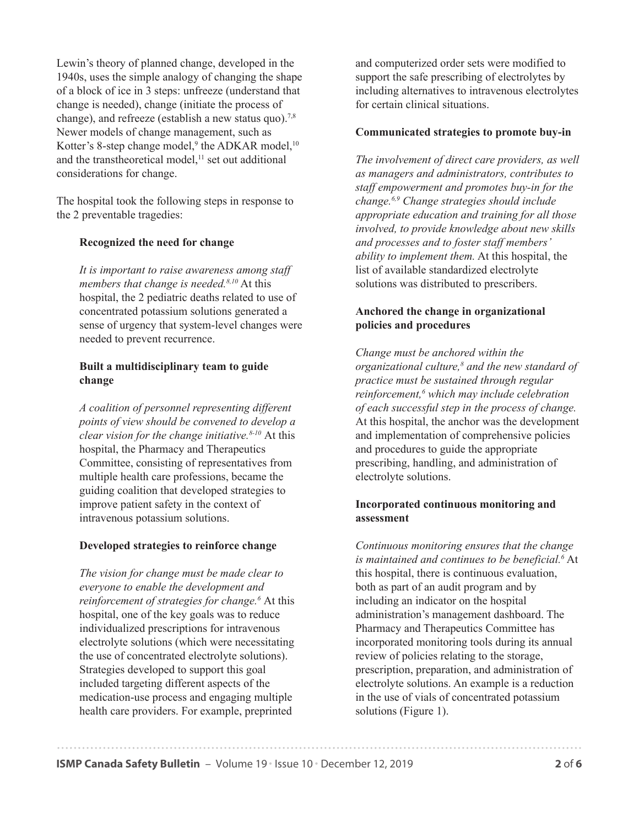Lewin's theory of planned change, developed in the 1940s, uses the simple analogy of changing the shape of a block of ice in 3 steps: unfreeze (understand that change is needed), change (initiate the process of change), and refreeze (establish a new status quo).<sup>7,8</sup> Newer models of change management, such as Kotter's 8-step change model,<sup>9</sup> the ADKAR model,<sup>10</sup> and the transtheoretical model,<sup>11</sup> set out additional considerations for change.

The hospital took the following steps in response to the 2 preventable tragedies:

## **Recognized the need for change**

*It is important to raise awareness among staff members that change is needed.8,10* At this hospital, the 2 pediatric deaths related to use of concentrated potassium solutions generated a sense of urgency that system-level changes were needed to prevent recurrence.

## **Built a multidisciplinary team to guide change**

*A coalition of personnel representing different points of view should be convened to develop a clear vision for the change initiative.8-10* At this hospital, the Pharmacy and Therapeutics Committee, consisting of representatives from multiple health care professions, became the guiding coalition that developed strategies to improve patient safety in the context of intravenous potassium solutions.

## **Developed strategies to reinforce change**

*The vision for change must be made clear to everyone to enable the development and reinforcement of strategies for change.6* At this hospital, one of the key goals was to reduce individualized prescriptions for intravenous electrolyte solutions (which were necessitating the use of concentrated electrolyte solutions). Strategies developed to support this goal included targeting different aspects of the medication-use process and engaging multiple health care providers. For example, preprinted

and computerized order sets were modified to support the safe prescribing of electrolytes by including alternatives to intravenous electrolytes for certain clinical situations.

## **Communicated strategies to promote buy-in**

*The involvement of direct care providers, as well as managers and administrators, contributes to staff empowerment and promotes buy-in for the change.6,9 Change strategies should include appropriate education and training for all those involved, to provide knowledge about new skills and processes and to foster staff members' ability to implement them.* At this hospital, the list of available standardized electrolyte solutions was distributed to prescribers.

## **Anchored the change in organizational policies and procedures**

*Change must be anchored within the organizational culture,8 and the new standard of practice must be sustained through regular reinforcement,6 which may include celebration of each successful step in the process of change.* At this hospital, the anchor was the development and implementation of comprehensive policies and procedures to guide the appropriate prescribing, handling, and administration of electrolyte solutions.

## **Incorporated continuous monitoring and assessment**

*Continuous monitoring ensures that the change is maintained and continues to be beneficial.6* At this hospital, there is continuous evaluation, both as part of an audit program and by including an indicator on the hospital administration's management dashboard. The Pharmacy and Therapeutics Committee has incorporated monitoring tools during its annual review of policies relating to the storage, prescription, preparation, and administration of electrolyte solutions. An example is a reduction in the use of vials of concentrated potassium solutions (Figure 1).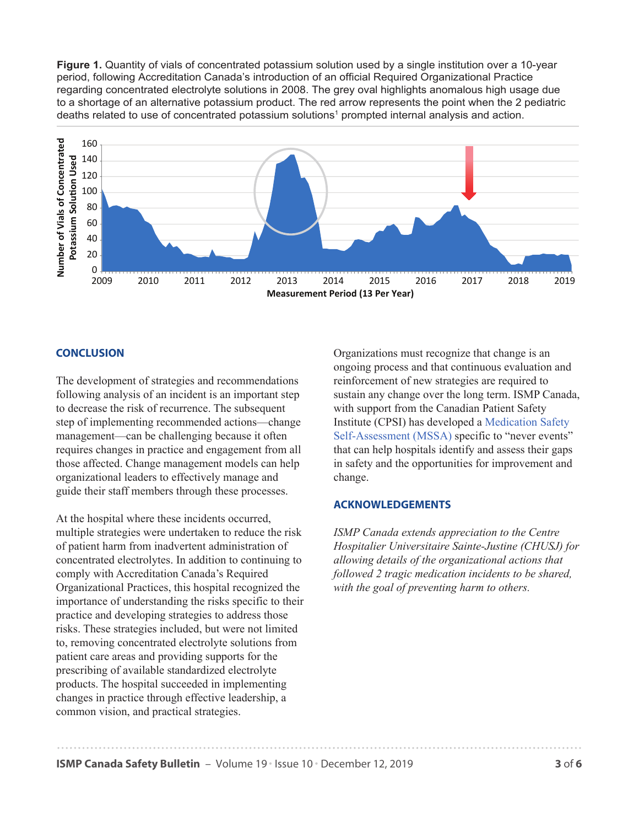**Figure 1.** Quantity of vials of concentrated potassium solution used by a single institution over a 10-year period, following Accreditation Canada's introduction of an official Required Organizational Practice regarding concentrated electrolyte solutions in 2008. The grey oval highlights anomalous high usage due to a shortage of an alternative potassium product. The red arrow represents the point when the 2 pediatric deaths related to use of concentrated potassium solutions<sup>1</sup> prompted internal analysis and action.



#### **CONCLUSION**

The development of strategies and recommendations following analysis of an incident is an important step to decrease the risk of recurrence. The subsequent step of implementing recommended actions—change management—can be challenging because it often requires changes in practice and engagement from all those affected. Change management models can help organizational leaders to effectively manage and guide their staff members through these processes.

At the hospital where these incidents occurred, multiple strategies were undertaken to reduce the risk of patient harm from inadvertent administration of concentrated electrolytes. In addition to continuing to comply with Accreditation Canada's Required Organizational Practices, this hospital recognized the importance of understanding the risks specific to their practice and developing strategies to address those risks. These strategies included, but were not limited to, removing concentrated electrolyte solutions from patient care areas and providing supports for the prescribing of available standardized electrolyte products. The hospital succeeded in implementing changes in practice through effective leadership, a common vision, and practical strategies.

Organizations must recognize that change is an ongoing process and that continuous evaluation and reinforcement of new strategies are required to sustain any change over the long term. ISMP Canada, with support from the Canadian Patient Safety Institute (CPSI) has developed a [Medication Safety](https://mssa.ismp-canada.org/never-events-hosp-amb)  [Self-Assessment \(MSSA\)](https://mssa.ismp-canada.org/never-events-hosp-amb) specific to "never events" that can help hospitals identify and assess their gaps in safety and the opportunities for improvement and change.

#### **ACKNOWLEDGEMENTS**

*ISMP Canada extends appreciation to the Centre Hospitalier Universitaire Sainte-Justine (CHUSJ) for allowing details of the organizational actions that followed 2 tragic medication incidents to be shared, with the goal of preventing harm to others.*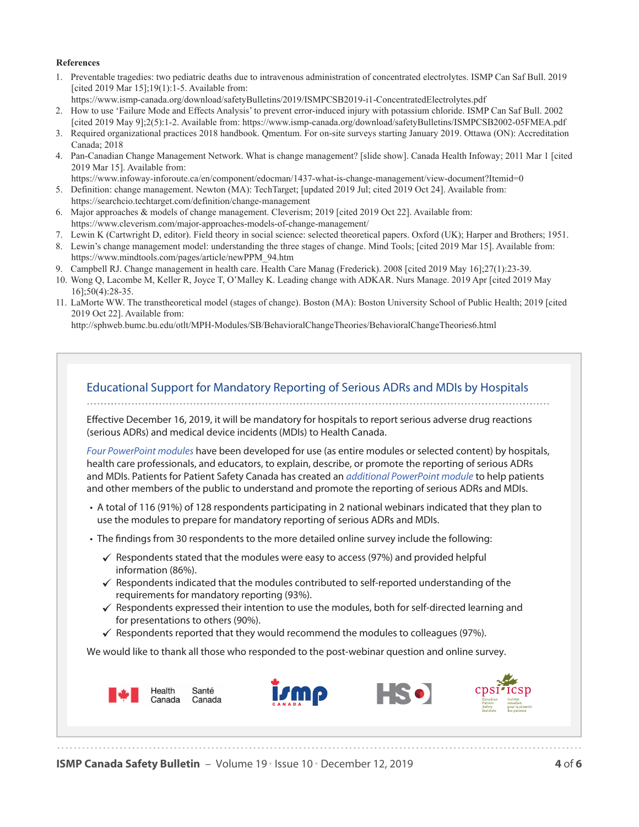#### **References**

- [1. Preventable tragedies: two pediatric deaths due to intravenous administration of concentrated electrolytes. ISMP Can Saf Bull. 2019](https://www.ismp-canada.org/download/safetyBulletins/2019/ISMPCSB2019-i1-ConcentratedElectrolytes.pdf)  [cited 2019 Mar 15];19(1):1-5. Available from:
- https://www.ismp-canada.org/download/safetyBulletins/2019/ISMPCSB2019-i1-ConcentratedElectrolytes.pdf [2. How to use 'Failure Mode and Effects Analysis' to prevent error-induced injury with potassium chloride. ISMP Can Saf Bull. 2002](https://www.ismp-canada.org/download/safetyBulletins/ISMPCSB2002-05FMEA.pdf)
- [cited 2019 May 9];2(5):1-2. Available from: https://www.ismp-canada.org/download/safetyBulletins/ISMPCSB2002-05FMEA.pdf
- 3. Required organizational practices 2018 handbook. Qmentum. For on-site surveys starting January 2019. Ottawa (ON): Accreditation Canada; 2018
- [4. Pan-Canadian Change Management Network. What is change management? \[slide show\]. Canada Health Infoway; 2011 Mar 1 \[cited](https://www.infoway-inforoute.ca/en/component/edocman/1437-what-is-change-management/view-document?Itemid=0)  2019 Mar 15]. Available from:
	- https://www.infoway-inforoute.ca/en/component/edocman/1437-what-is-change-management/view-document?Itemid=0
- [5. Definition: change management. Newton \(MA\): TechTarget; \[updated 2019 Jul; cited 2019 Oct 24\]. Available from:](https://searchcio.techtarget.com/definition/change-management)  https://searchcio.techtarget.com/definition/change-management
- [6. Major approaches & models of change management. Cleverism; 2019 \[cited 2019 Oct 22\]. Available from:](https://www.cleverism.com/major-approaches-models-of-change-management/)  https://www.cleverism.com/major-approaches-models-of-change-management/
- 7. Lewin K (Cartwright D, editor). Field theory in social science: selected theoretical papers. Oxford (UK); Harper and Brothers; 1951.
- [8. Lewin's change management model: understanding the three stages of change. Mind Tools; \[cited 2019 Mar 15\]. Available from:](https://www.mindtools.com/pages/article/newPPM_94.htm)  https://www.mindtools.com/pages/article/newPPM\_94.htm
- 9. Campbell RJ. Change management in health care. Health Care Manag (Frederick). 2008 [cited 2019 May 16];27(1):23-39.
- 10. Wong Q, Lacombe M, Keller R, Joyce T, O'Malley K. Leading change with ADKAR. Nurs Manage. 2019 Apr [cited 2019 May 16];50(4):28-35.
- [11. LaMorte WW. The transtheoretical model \(stages of change\). Boston \(MA\): Boston University School of Public Health; 2019 \[cited](http://sphweb.bumc.bu.edu/otlt/MPH-Modules/SB/BehavioralChangeTheories/BehavioralChangeTheories6.html)  2019 Oct 22]. Available from:

http://sphweb.bumc.bu.edu/otlt/MPH-Modules/SB/BehavioralChangeTheories/BehavioralChangeTheories6.html



**ISMP Canada Safety Bulletin** – Volume 19 • Issue 10 • December 12, 2019 **4** of **6**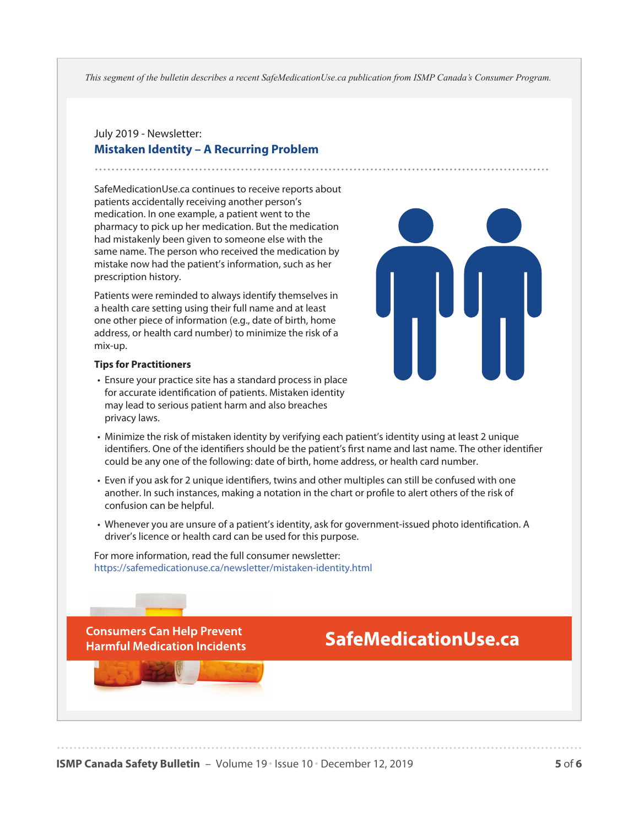*This segment of the bulletin describes a recent SafeMedicationUse.ca publication from ISMP Canada's Consumer Program.*

## July 2019 - Newsletter: **Mistaken Identity – A Recurring Problem**

SafeMedicationUse.ca continues to receive reports about patients accidentally receiving another person's medication. In one example, a patient went to the pharmacy to pick up her medication. But the medication had mistakenly been given to someone else with the same name. The person who received the medication by mistake now had the patient's information, such as her prescription history.

Patients were reminded to always identify themselves in a health care setting using their full name and at least one other piece of information (e.g., date of birth, home address, or health card number) to minimize the risk of a mix-up.



#### **Tips for Practitioners**

- Ensure your practice site has a standard process in place for accurate identification of patients. Mistaken identity may lead to serious patient harm and also breaches privacy laws.
- Minimize the risk of mistaken identity by verifying each patient's identity using at least 2 unique identifiers. One of the identifiers should be the patient's first name and last name. The other identifier could be any one of the following: date of birth, home address, or health card number.
- Even if you ask for 2 unique identifiers, twins and other multiples can still be confused with one another. In such instances, making a notation in the chart or profile to alert others of the risk of confusion can be helpful.
- Whenever you are unsure of a patient's identity, ask for government-issued photo identification. A driver's licence or health card can be used for this purpose.

For more information, read the full consumer newsletter: <https://safemedicationuse.ca/newsletter/mistaken-identity.html>

**Consumers Can Help Prevent Harmful Medication Incidents** 

# **SafeMedicationUse.ca**